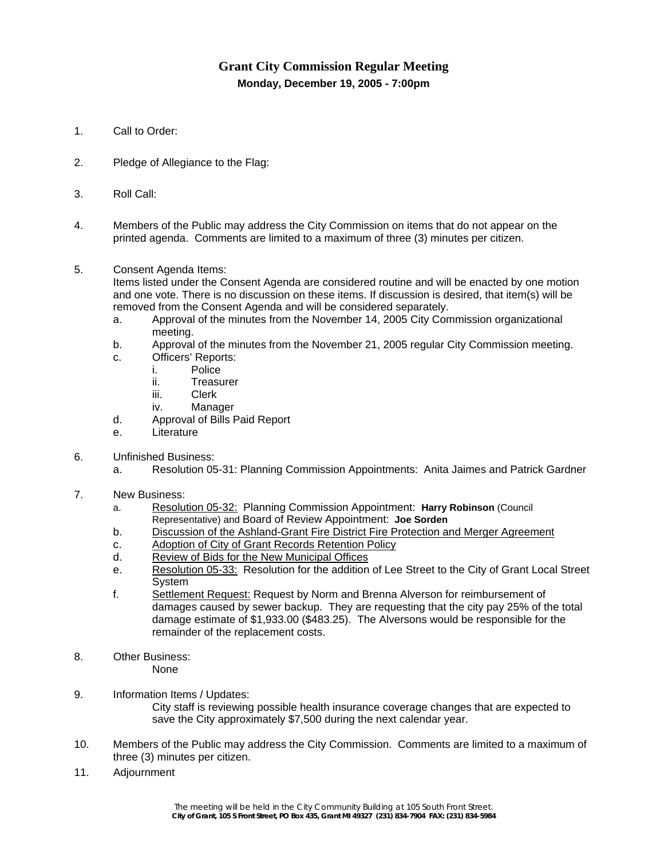# **Grant City Commission Regular Meeting Monday, December 19, 2005 - 7:00pm**

- 1. Call to Order:
- 2. Pledge of Allegiance to the Flag:
- 3. Roll Call:
- 4. Members of the Public may address the City Commission on items that do not appear on the printed agenda. Comments are limited to a maximum of three (3) minutes per citizen.
- 5. Consent Agenda Items:

Items listed under the Consent Agenda are considered routine and will be enacted by one motion and one vote. There is no discussion on these items. If discussion is desired, that item(s) will be removed from the Consent Agenda and will be considered separately.

- a. Approval of the minutes from the November 14, 2005 City Commission organizational meeting.
- b. Approval of the minutes from the November 21, 2005 regular City Commission meeting.
- c. Officers' Reports:
	- i. Police
		- ii. Treasurer
		- iii. Clerk
		- iv. Manager
- d. Approval of Bills Paid Report
- e. Literature
- 6. Unfinished Business:
	- a. Resolution 05-31: Planning Commission Appointments: Anita Jaimes and Patrick Gardner
- 7. New Business:
	- a. Resolution 05-32:Planning Commission Appointment: **Harry Robinson** (Council Representative) and Board of Review Appointment: **Joe Sorden**
	- b. Discussion of the Ashland-Grant Fire District Fire Protection and Merger Agreement
	- c. Adoption of City of Grant Records Retention Policy
	- d. Review of Bids for the New Municipal Offices
	- e. Resolution 05-33: Resolution for the addition of Lee Street to the City of Grant Local Street System
	- f. Settlement Request: Request by Norm and Brenna Alverson for reimbursement of damages caused by sewer backup. They are requesting that the city pay 25% of the total damage estimate of \$1,933.00 (\$483.25). The Alversons would be responsible for the remainder of the replacement costs.
- 8. Other Business: None
- 9. Information Items / Updates: City staff is reviewing possible health insurance coverage changes that are expected to save the City approximately \$7,500 during the next calendar year.
- 10. Members of the Public may address the City Commission. Comments are limited to a maximum of three (3) minutes per citizen.
- 11. Adjournment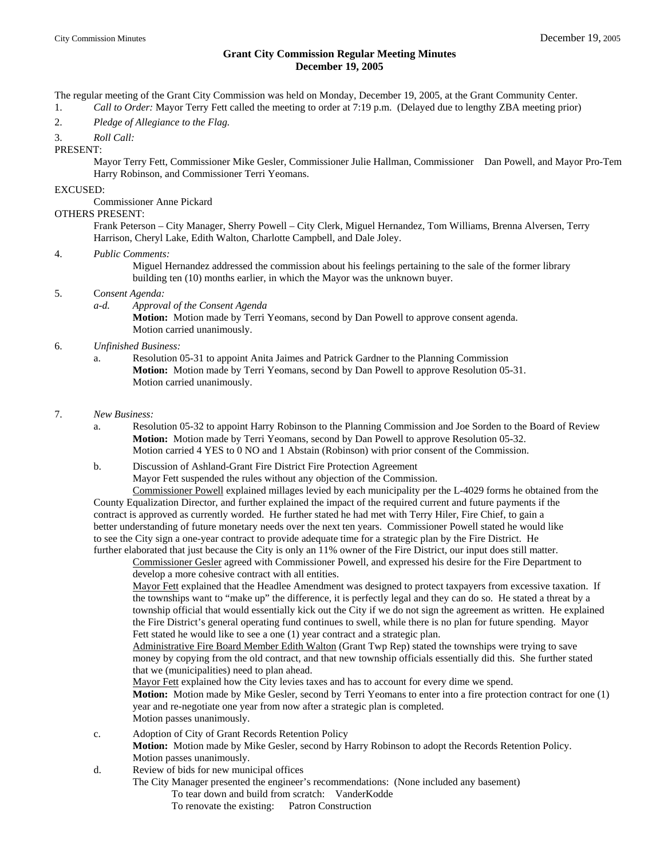### **Grant City Commission Regular Meeting Minutes December 19, 2005**

The regular meeting of the Grant City Commission was held on Monday, December 19, 2005, at the Grant Community Center.

1. *Call to Order:* Mayor Terry Fett called the meeting to order at 7:19 p.m. (Delayed due to lengthy ZBA meeting prior)

2. *Pledge of Allegiance to the Flag.*

3. *Roll Call:*

PRESENT:

 Mayor Terry Fett, Commissioner Mike Gesler, Commissioner Julie Hallman, Commissioner Dan Powell, and Mayor Pro-Tem Harry Robinson, and Commissioner Terri Yeomans.

#### EXCUSED:

Commissioner Anne Pickard

#### OTHERS PRESENT:

 Frank Peterson – City Manager, Sherry Powell – City Clerk, Miguel Hernandez, Tom Williams, Brenna Alversen, Terry Harrison, Cheryl Lake, Edith Walton, Charlotte Campbell, and Dale Joley.

#### 4. *Public Comments:*

 Miguel Hernandez addressed the commission about his feelings pertaining to the sale of the former library building ten (10) months earlier, in which the Mayor was the unknown buyer.

#### 5. C*onsent Agenda:*

 *a-d. Approval of the Consent Agenda* 

**Motion:** Motion made by Terri Yeomans, second by Dan Powell to approve consent agenda. Motion carried unanimously.

#### 6. *Unfinished Business:*

 a. Resolution 05-31 to appoint Anita Jaimes and Patrick Gardner to the Planning Commission **Motion:** Motion made by Terri Yeomans, second by Dan Powell to approve Resolution 05-31. Motion carried unanimously.

#### 7. *New Business:*

- a. Resolution 05-32 to appoint Harry Robinson to the Planning Commission and Joe Sorden to the Board of Review **Motion:** Motion made by Terri Yeomans, second by Dan Powell to approve Resolution 05-32. Motion carried 4 YES to 0 NO and 1 Abstain (Robinson) with prior consent of the Commission.
- b. Discussion of Ashland-Grant Fire District Fire Protection Agreement Mayor Fett suspended the rules without any objection of the Commission. Commissioner Powell explained millages levied by each municipality per the L-4029 forms he obtained from the

 County Equalization Director, and further explained the impact of the required current and future payments if the contract is approved as currently worded. He further stated he had met with Terry Hiler, Fire Chief, to gain a better understanding of future monetary needs over the next ten years. Commissioner Powell stated he would like to see the City sign a one-year contract to provide adequate time for a strategic plan by the Fire District. He further elaborated that just because the City is only an 11% owner of the Fire District, our input does still matter.

 Commissioner Gesler agreed with Commissioner Powell, and expressed his desire for the Fire Department to develop a more cohesive contract with all entities.

 Mayor Fett explained that the Headlee Amendment was designed to protect taxpayers from excessive taxation. If the townships want to "make up" the difference, it is perfectly legal and they can do so. He stated a threat by a township official that would essentially kick out the City if we do not sign the agreement as written. He explained the Fire District's general operating fund continues to swell, while there is no plan for future spending. Mayor Fett stated he would like to see a one (1) year contract and a strategic plan.

 Administrative Fire Board Member Edith Walton (Grant Twp Rep) stated the townships were trying to save money by copying from the old contract, and that new township officials essentially did this. She further stated that we (municipalities) need to plan ahead.

 Mayor Fett explained how the City levies taxes and has to account for every dime we spend. **Motion:** Motion made by Mike Gesler, second by Terri Yeomans to enter into a fire protection contract for one (1) year and re-negotiate one year from now after a strategic plan is completed. Motion passes unanimously.

c. Adoption of City of Grant Records Retention Policy **Motion:** Motion made by Mike Gesler, second by Harry Robinson to adopt the Records Retention Policy. Motion passes unanimously.

d. Review of bids for new municipal offices

- The City Manager presented the engineer's recommendations: (None included any basement) To tear down and build from scratch: VanderKodde
	- To renovate the existing: Patron Construction